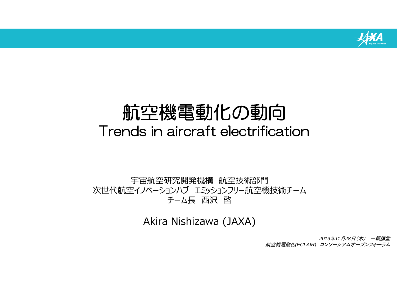

# 航空機電動化の動向 Trends in aircraft electrification

宇宙航空研究開発機構 航空技術部門 次世代航空イノベーションハブ エミッションフリー航空機技術チーム チーム長 西沢 啓

Akira Nishizawa (JAXA)

*2019*年*11* 月*28*日(木) 一橋講堂 航空機電動化*(ECLAIR)* コンソーシアムオープンフォーラム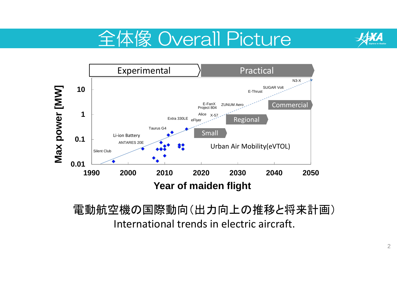





#### 電動航空機の国際動向(出力向上の推移と将来計画) International trends in electric aircraft.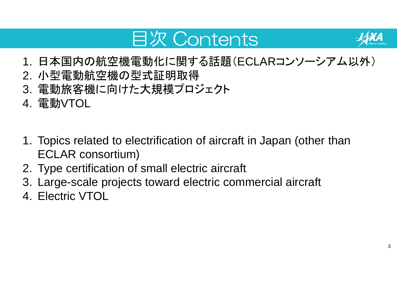# 目次 Contents



- 1. 日本国内の航空機電動化に関する話題(ECLARコンソーシアム以外)
- 2. 小型電動航空機の型式証明取得
- 3. 電動旅客機に向けた大規模プロジェクト
- 4. 電動VTOL
- 1. Topics related to electrification of aircraft in Japan (other than ECLAR consortium)
- 2. Type certification of small electric aircraft
- 3. Large-scale projects toward electric commercial aircraft
- 4. Electric VTOL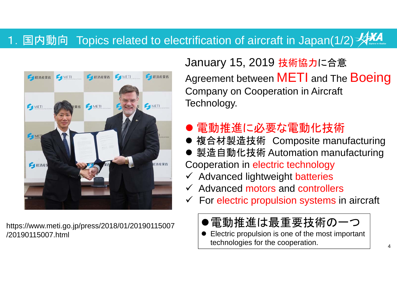#### 1. 国内動向 Topics related to electrification of aircraft in Japan(1/2) \*



https://www.meti.go.jp/press/2018/01/20190115007 /20190115007.html

January 15, 2019 技術協力に合意 Agreement between **METI** and The **Boeing** Company on Cooperation in Aircraft Technology.

### ● 電動推進に必要な電動化技術

- 複合材製造技術 Composite manufacturing
- 製造自動化技術 Automation manufacturing Cooperation in electric technology
- ← Advanced lightweight batteries
- $\checkmark$  Advanced motors and controllers
- $\checkmark$  For electric propulsion systems in aircraft
	- ●電動推進は最重要技術の一つ
	- $\bullet$  Electric propulsion is one of the most important technologies for the cooperation.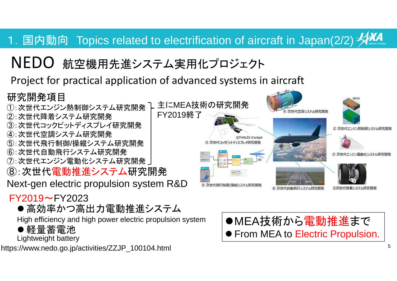#### 1. 国内動向 Topics related to electrification of aircraft in Japan(2/2) AAA

#### NEDO航空機用先進システム実用化プロジェクト

#### Project for practical application of advanced systems in aircraft

#### 研究開発項目

- ①:次世代エンジン熱制御システム研究開発 -
- ②:次世代降着システム研究開発
- ③:次世代コックピットディスプレイ研究開発
- ④:次世代空調システム研究開発
- ⑤:次世代飛行制御/操縦システム研究開発
- ⑥:次世代自動飛行システム研究開発
- ⑦:次世代エンジン電動化システム研究開発
- ⑧:次世代電動推進システム研究開発
- Next-gen electric propulsion system R&D

#### $FY2019 \sim FY2023$

● 高効率かつ高出力電動推進システム

High efficiency and high power electric propulsion system

軽量蓄電池

Lightweight battery

https://www.nedo.go.jp/activities/ZZJP\_100104.html



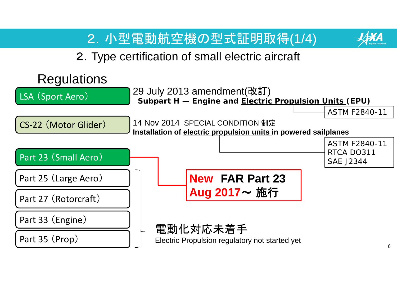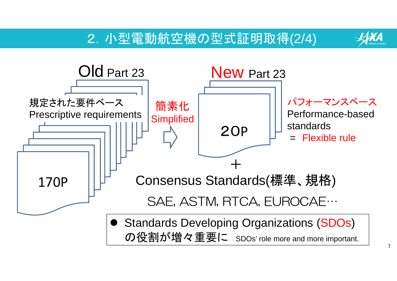### 2.小型電動航空機の型式証明取得(2/4)

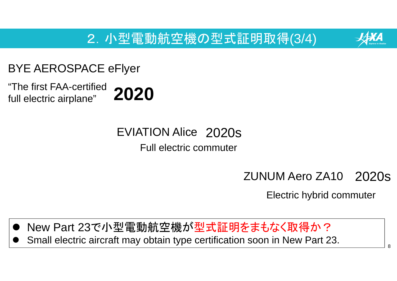2.小型電動航空機の型式証明取得(3/4)



#### BYE AEROSPACE eFlyer

"The first FAA-certified full electric airplane" **2020**

> EVIATION Alice 2020s Full electric commuter

#### 2020s ZUNUM Aero ZA10

Electric hybrid commuter

- $\bullet$ New Part 23で小型電動航空機が型式証明をまもなく取得か?
- $\bullet$ Small electric aircraft may obtain type certification soon in New Part 23.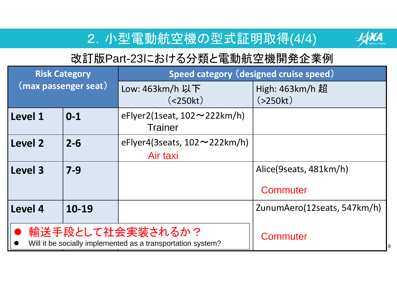### 2.小型電動航空機の型式証明取得(4/4)



 $\overline{9}$ 

### 改訂版Part-23における分類と電動航空機開発企業例

| <b>Risk Category</b><br>(max passenger seat)                                                |         | Speed category (designed cruise speed)                   |                             |
|---------------------------------------------------------------------------------------------|---------|----------------------------------------------------------|-----------------------------|
|                                                                                             |         | Low: 463km/h 以下<br>(<250kt)                              | High: 463km/h 超<br>(>250kt) |
| l Level 1                                                                                   | $0 - 1$ | eFlyer2(1seat, $102 \sim 222$ km/h)<br><b>Trainer</b>    |                             |
| Level 2                                                                                     | $2 - 6$ | eFlyer4(3seats, $102 \sim 222 \text{km/h}$ )<br>Air taxi |                             |
| Level 3                                                                                     | $7 - 9$ |                                                          | Alice(9seats, 481km/h)      |
|                                                                                             |         |                                                          | Commuter                    |
| Level 4                                                                                     | 10-19   |                                                          | ZunumAero(12seats, 547km/h) |
| 輸送手段として社会実装されるか?<br>Commuter<br>Will it be socially implemented as a transportation system? |         |                                                          |                             |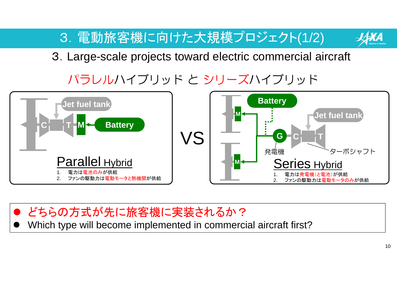3.電動旅客機に向けた大規模プロジェクト(1/2)



3.Large-scale projects toward electric commercial aircraft

# パラレルハイブリッド と シリーズハイブリッド



 $\bullet$  どちらの方式が先に旅客機に実装されるか?  $\bullet$ Which type will become implemented in commercial aircraft first?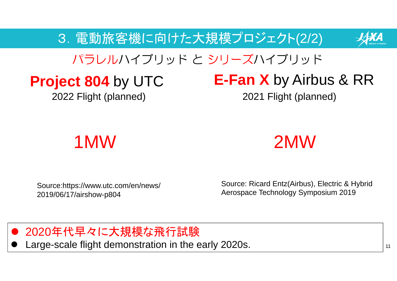3.電動旅客機に向けた大規模プロジェクト(2/2)



## パラレルハイブリッド と シリーズハイブリッド

# **Project 804** by UTC

2022 Flight (planned)

# **E-Fan X** by Airbus & RR

2021 Flight (planned)



Source: Ricard Entz(Airbus), Electric & Hybrid Source:https://www.utc.com/en/news/<br>2019/06/17/airshow-p804 Aerospace Technology Symposium 2019

 $\bullet$ 2020年代早々に大規模な飛行試験

 $\bullet$ Large-scale flight demonstration in the early 2020s.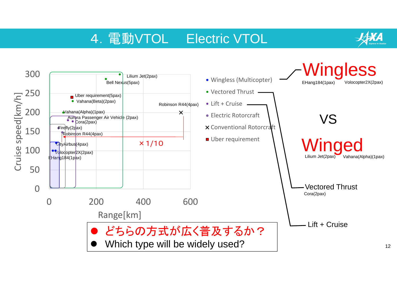### 4.電動VTOL Electric VTOL

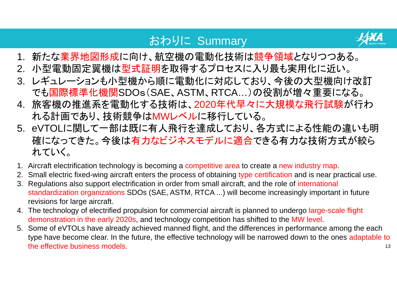#### おわりに Summary



- 1. 新たな業界地図形成に向け、航空機の電動化技術は競争領域となりつつある。
- 2. 小型電動固定翼機は型式証明を取得するプロセスに入り最も実用化に近い。
- 3. レギュレーションも小型機から順に電動化に対応しており、今後の大型機向け改訂 でも国際標準化機関SDOs(SAE、ASTM、RTCA…)の役割が増々重要になる。
- 4. 旅客機の推進系を電動化する技術は、2020年代早々に大規模な飛行試験が行わ れる計画であり、技術競争はMWレベルに移行している。
- 5. eVTOLに関して一部は既に有人飛行を達成しており、各方式による性能の違いも明 確になってきた。今後は有力なビジネスモデルに適合できる有力な技術方式が絞ら れていく。
- 1. Aircraft electrification technology is becoming a competitive area to create a new industry map.
- 2. Small electric fixed-wing aircraft enters the process of obtaining type certification and is near practical use.
- 3. Regulations also support electrification in order from small aircraft, and the role of international standardization organizations SDOs (SAE, ASTM, RTCA ...) will become increasingly important in future revisions for large aircraft.
- 4. The technology of electrified propulsion for commercial aircraft is planned to undergo large-scale flight demonstration in the early 2020s, and technology competition has shifted to the MW level.
- 135. Some of eVTOLs have already achieved manned flight, and the differences in performance among the each type have become clear. In the future, the effective technology will be narrowed down to the ones adaptable to the effective business models.